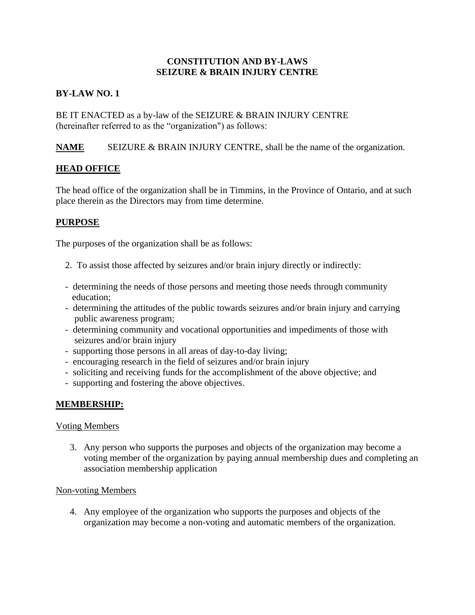# **CONSTITUTION AND BY-LAWS SEIZURE & BRAIN INJURY CENTRE**

# **BY-LAW NO. 1**

BE IT ENACTED as a by-law of the SEIZURE & BRAIN INJURY CENTRE (hereinafter referred to as the "organization") as follows:

**NAME** SEIZURE & BRAIN INJURY CENTRE, shall be the name of the organization.

# **HEAD OFFICE**

The head office of the organization shall be in Timmins, in the Province of Ontario, and at such place therein as the Directors may from time determine.

# **PURPOSE**

The purposes of the organization shall be as follows:

- 2. To assist those affected by seizures and/or brain injury directly or indirectly:
- determining the needs of those persons and meeting those needs through community education;
- determining the attitudes of the public towards seizures and/or brain injury and carrying public awareness program;
- determining community and vocational opportunities and impediments of those with seizures and/or brain injury
- supporting those persons in all areas of day-to-day living;
- encouraging research in the field of seizures and/or brain injury
- soliciting and receiving funds for the accomplishment of the above objective; and
- supporting and fostering the above objectives.

#### **MEMBERSHIP:**

#### Voting Members

3. Any person who supports the purposes and objects of the organization may become a voting member of the organization by paying annual membership dues and completing an association membership application

#### Non-voting Members

4. Any employee of the organization who supports the purposes and objects of the organization may become a non-voting and automatic members of the organization.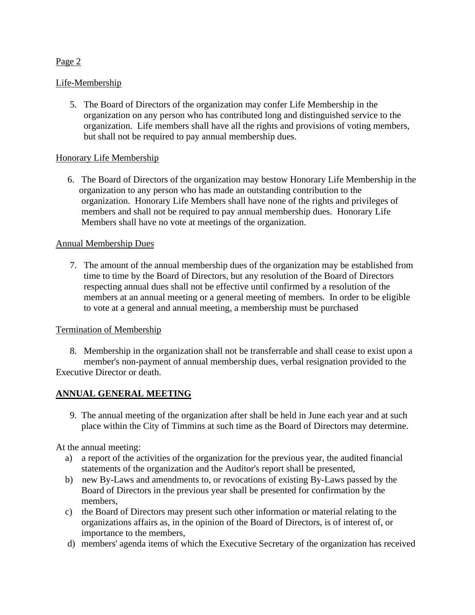### Life-Membership

5. The Board of Directors of the organization may confer Life Membership in the organization on any person who has contributed long and distinguished service to the organization. Life members shall have all the rights and provisions of voting members, but shall not be required to pay annual membership dues.

### Honorary Life Membership

 6. The Board of Directors of the organization may bestow Honorary Life Membership in the organization to any person who has made an outstanding contribution to the organization. Honorary Life Members shall have none of the rights and privileges of members and shall not be required to pay annual membership dues. Honorary Life Members shall have no vote at meetings of the organization.

#### Annual Membership Dues

7. The amount of the annual membership dues of the organization may be established from time to time by the Board of Directors, but any resolution of the Board of Directors respecting annual dues shall not be effective until confirmed by a resolution of the members at an annual meeting or a general meeting of members. In order to be eligible to vote at a general and annual meeting, a membership must be purchased

#### Termination of Membership

8. Membership in the organization shall not be transferrable and shall cease to exist upon a member's non-payment of annual membership dues, verbal resignation provided to the Executive Director or death.

# **ANNUAL GENERAL MEETING**

 9. The annual meeting of the organization after shall be held in June each year and at such place within the City of Timmins at such time as the Board of Directors may determine.

At the annual meeting:

- a) a report of the activities of the organization for the previous year, the audited financial statements of the organization and the Auditor's report shall be presented,
- b) new By-Laws and amendments to, or revocations of existing By-Laws passed by the Board of Directors in the previous year shall be presented for confirmation by the members,
- c) the Board of Directors may present such other information or material relating to the organizations affairs as, in the opinion of the Board of Directors, is of interest of, or importance to the members,
- d) members' agenda items of which the Executive Secretary of the organization has received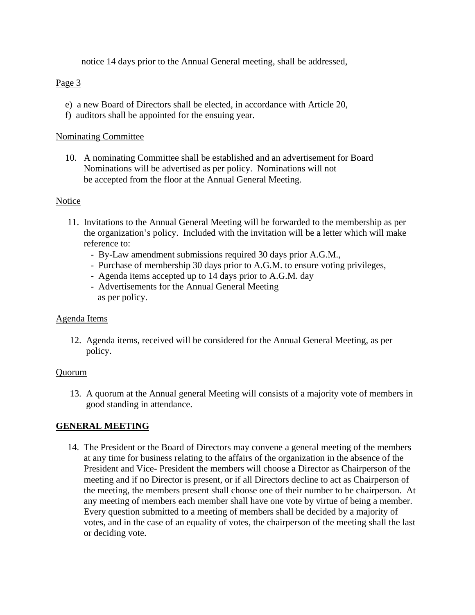notice 14 days prior to the Annual General meeting, shall be addressed,

# Page 3

- e) a new Board of Directors shall be elected, in accordance with Article 20,
- f) auditors shall be appointed for the ensuing year.

#### Nominating Committee

 10. A nominating Committee shall be established and an advertisement for Board Nominations will be advertised as per policy. Nominations will not be accepted from the floor at the Annual General Meeting.

#### Notice

- 11. Invitations to the Annual General Meeting will be forwarded to the membership as per the organization's policy. Included with the invitation will be a letter which will make reference to:
	- By-Law amendment submissions required 30 days prior A.G.M.,
	- Purchase of membership 30 days prior to A.G.M. to ensure voting privileges,
	- Agenda items accepted up to 14 days prior to A.G.M. day
	- Advertisements for the Annual General Meeting as per policy.

#### Agenda Items

12. Agenda items, received will be considered for the Annual General Meeting, as per policy.

#### Quorum

13. A quorum at the Annual general Meeting will consists of a majority vote of members in good standing in attendance.

#### **GENERAL MEETING**

 14. The President or the Board of Directors may convene a general meeting of the members at any time for business relating to the affairs of the organization in the absence of the President and Vice- President the members will choose a Director as Chairperson of the meeting and if no Director is present, or if all Directors decline to act as Chairperson of the meeting, the members present shall choose one of their number to be chairperson. At any meeting of members each member shall have one vote by virtue of being a member. Every question submitted to a meeting of members shall be decided by a majority of votes, and in the case of an equality of votes, the chairperson of the meeting shall the last or deciding vote.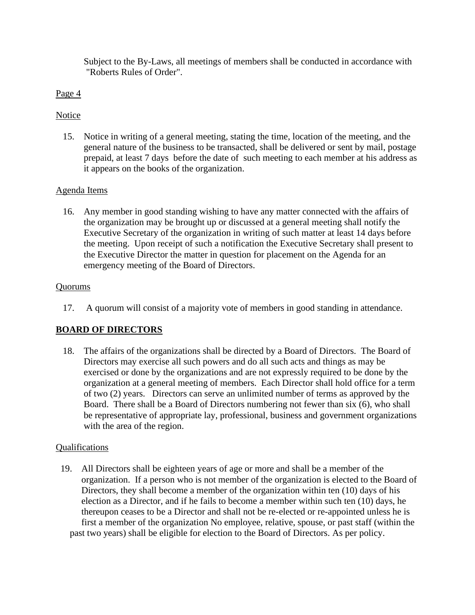Subject to the By-Laws, all meetings of members shall be conducted in accordance with "Roberts Rules of Order".

# Page 4

# **Notice**

 15. Notice in writing of a general meeting, stating the time, location of the meeting, and the general nature of the business to be transacted, shall be delivered or sent by mail, postage prepaid, at least 7 days before the date of such meeting to each member at his address as it appears on the books of the organization.

# Agenda Items

16. Any member in good standing wishing to have any matter connected with the affairs of the organization may be brought up or discussed at a general meeting shall notify the Executive Secretary of the organization in writing of such matter at least 14 days before the meeting. Upon receipt of such a notification the Executive Secretary shall present to the Executive Director the matter in question for placement on the Agenda for an emergency meeting of the Board of Directors.

### **Ouorums**

17. A quorum will consist of a majority vote of members in good standing in attendance.

# **BOARD OF DIRECTORS**

 18. The affairs of the organizations shall be directed by a Board of Directors. The Board of Directors may exercise all such powers and do all such acts and things as may be exercised or done by the organizations and are not expressly required to be done by the organization at a general meeting of members. Each Director shall hold office for a term of two (2) years. Directors can serve an unlimited number of terms as approved by the Board. There shall be a Board of Directors numbering not fewer than six (6), who shall be representative of appropriate lay, professional, business and government organizations with the area of the region.

# Qualifications

 19. All Directors shall be eighteen years of age or more and shall be a member of the organization. If a person who is not member of the organization is elected to the Board of Directors, they shall become a member of the organization within ten (10) days of his election as a Director, and if he fails to become a member within such ten (10) days, he thereupon ceases to be a Director and shall not be re-elected or re-appointed unless he is first a member of the organization No employee, relative, spouse, or past staff (within the past two years) shall be eligible for election to the Board of Directors. As per policy.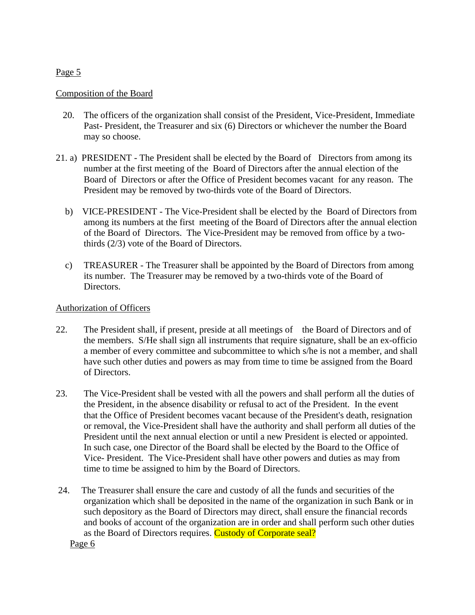# Composition of the Board

- 20. The officers of the organization shall consist of the President, Vice-President, Immediate Past- President, the Treasurer and six (6) Directors or whichever the number the Board may so choose.
- 21. a) PRESIDENT The President shall be elected by the Board of Directors from among its number at the first meeting of the Board of Directors after the annual election of the Board of Directors or after the Office of President becomes vacant for any reason. The President may be removed by two-thirds vote of the Board of Directors.
	- b) VICE-PRESIDENT The Vice-President shall be elected by the Board of Directors from among its numbers at the first meeting of the Board of Directors after the annual election of the Board of Directors. The Vice-President may be removed from office by a twothirds (2/3) vote of the Board of Directors.
	- c) TREASURER The Treasurer shall be appointed by the Board of Directors from among its number. The Treasurer may be removed by a two-thirds vote of the Board of Directors.

### Authorization of Officers

- 22. The President shall, if present, preside at all meetings of the Board of Directors and of the members. S/He shall sign all instruments that require signature, shall be an ex-officio a member of every committee and subcommittee to which s/he is not a member, and shall have such other duties and powers as may from time to time be assigned from the Board of Directors.
- 23. The Vice-President shall be vested with all the powers and shall perform all the duties of the President, in the absence disability or refusal to act of the President. In the event that the Office of President becomes vacant because of the President's death, resignation or removal, the Vice-President shall have the authority and shall perform all duties of the President until the next annual election or until a new President is elected or appointed. In such case, one Director of the Board shall be elected by the Board to the Office of Vice- President. The Vice-President shall have other powers and duties as may from time to time be assigned to him by the Board of Directors.
- 24. The Treasurer shall ensure the care and custody of all the funds and securities of the organization which shall be deposited in the name of the organization in such Bank or in such depository as the Board of Directors may direct, shall ensure the financial records and books of account of the organization are in order and shall perform such other duties as the Board of Directors requires. Custody of Corporate seal?

Page 6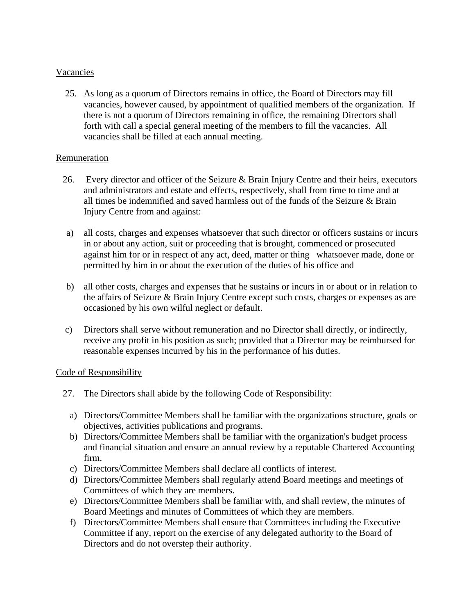# Vacancies

 25. As long as a quorum of Directors remains in office, the Board of Directors may fill vacancies, however caused, by appointment of qualified members of the organization. If there is not a quorum of Directors remaining in office, the remaining Directors shall forth with call a special general meeting of the members to fill the vacancies. All vacancies shall be filled at each annual meeting.

#### Remuneration

- 26. Every director and officer of the Seizure & Brain Injury Centre and their heirs, executors and administrators and estate and effects, respectively, shall from time to time and at all times be indemnified and saved harmless out of the funds of the Seizure & Brain Injury Centre from and against:
- a) all costs, charges and expenses whatsoever that such director or officers sustains or incurs in or about any action, suit or proceeding that is brought, commenced or prosecuted against him for or in respect of any act, deed, matter or thing whatsoever made, done or permitted by him in or about the execution of the duties of his office and
- b) all other costs, charges and expenses that he sustains or incurs in or about or in relation to the affairs of Seizure & Brain Injury Centre except such costs, charges or expenses as are occasioned by his own wilful neglect or default.
- c) Directors shall serve without remuneration and no Director shall directly, or indirectly, receive any profit in his position as such; provided that a Director may be reimbursed for reasonable expenses incurred by his in the performance of his duties.

#### Code of Responsibility

- 27. The Directors shall abide by the following Code of Responsibility:
	- a) Directors/Committee Members shall be familiar with the organizations structure, goals or objectives, activities publications and programs.
	- b) Directors/Committee Members shall be familiar with the organization's budget process and financial situation and ensure an annual review by a reputable Chartered Accounting firm.
	- c) Directors/Committee Members shall declare all conflicts of interest.
	- d) Directors/Committee Members shall regularly attend Board meetings and meetings of Committees of which they are members.
	- e) Directors/Committee Members shall be familiar with, and shall review, the minutes of Board Meetings and minutes of Committees of which they are members.
	- f) Directors/Committee Members shall ensure that Committees including the Executive Committee if any, report on the exercise of any delegated authority to the Board of Directors and do not overstep their authority.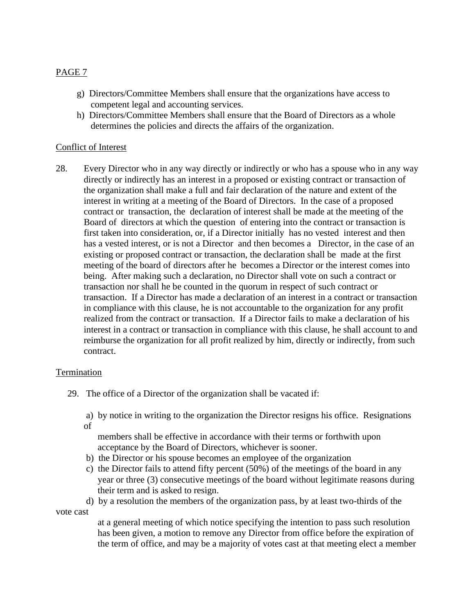# PAGE 7

- g) Directors/Committee Members shall ensure that the organizations have access to competent legal and accounting services.
- h) Directors/Committee Members shall ensure that the Board of Directors as a whole determines the policies and directs the affairs of the organization.

### Conflict of Interest

28. Every Director who in any way directly or indirectly or who has a spouse who in any way directly or indirectly has an interest in a proposed or existing contract or transaction of the organization shall make a full and fair declaration of the nature and extent of the interest in writing at a meeting of the Board of Directors. In the case of a proposed contract or transaction, the declaration of interest shall be made at the meeting of the Board of directors at which the question of entering into the contract or transaction is first taken into consideration, or, if a Director initially has no vested interest and then has a vested interest, or is not a Director and then becomes a Director, in the case of an existing or proposed contract or transaction, the declaration shall be made at the first meeting of the board of directors after he becomes a Director or the interest comes into being. After making such a declaration, no Director shall vote on such a contract or transaction nor shall he be counted in the quorum in respect of such contract or transaction. If a Director has made a declaration of an interest in a contract or transaction in compliance with this clause, he is not accountable to the organization for any profit realized from the contract or transaction. If a Director fails to make a declaration of his interest in a contract or transaction in compliance with this clause, he shall account to and reimburse the organization for all profit realized by him, directly or indirectly, from such contract.

#### Termination

- 29. The office of a Director of the organization shall be vacated if:
	- a) by notice in writing to the organization the Director resigns his office. Resignations of

 members shall be effective in accordance with their terms or forthwith upon acceptance by the Board of Directors, whichever is sooner.

- b) the Director or his spouse becomes an employee of the organization
- c) the Director fails to attend fifty percent (50%) of the meetings of the board in any year or three (3) consecutive meetings of the board without legitimate reasons during their term and is asked to resign.

 d) by a resolution the members of the organization pass, by at least two-thirds of the vote cast

> at a general meeting of which notice specifying the intention to pass such resolution has been given, a motion to remove any Director from office before the expiration of the term of office, and may be a majority of votes cast at that meeting elect a member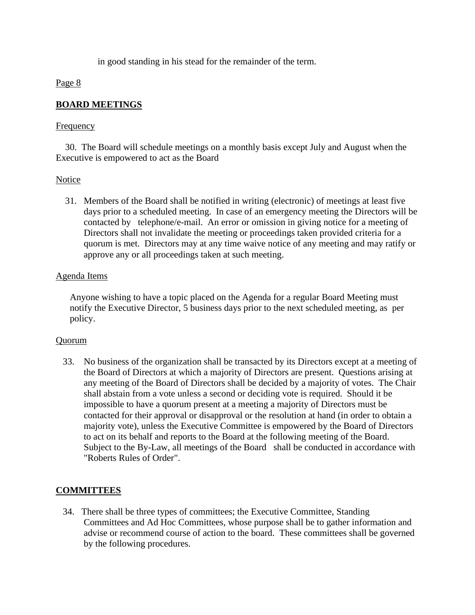in good standing in his stead for the remainder of the term.

### Page 8

# **BOARD MEETINGS**

### Frequency

 30. The Board will schedule meetings on a monthly basis except July and August when the Executive is empowered to act as the Board

# Notice

 31. Members of the Board shall be notified in writing (electronic) of meetings at least five days prior to a scheduled meeting. In case of an emergency meeting the Directors will be contacted by telephone/e-mail. An error or omission in giving notice for a meeting of Directors shall not invalidate the meeting or proceedings taken provided criteria for a quorum is met. Directors may at any time waive notice of any meeting and may ratify or approve any or all proceedings taken at such meeting.

### Agenda Items

Anyone wishing to have a topic placed on the Agenda for a regular Board Meeting must notify the Executive Director, 5 business days prior to the next scheduled meeting, as per policy.

#### Quorum

 33. No business of the organization shall be transacted by its Directors except at a meeting of the Board of Directors at which a majority of Directors are present. Questions arising at any meeting of the Board of Directors shall be decided by a majority of votes. The Chair shall abstain from a vote unless a second or deciding vote is required. Should it be impossible to have a quorum present at a meeting a majority of Directors must be contacted for their approval or disapproval or the resolution at hand (in order to obtain a majority vote), unless the Executive Committee is empowered by the Board of Directors to act on its behalf and reports to the Board at the following meeting of the Board. Subject to the By-Law, all meetings of the Board shall be conducted in accordance with "Roberts Rules of Order".

# **COMMITTEES**

 34. There shall be three types of committees; the Executive Committee, Standing Committees and Ad Hoc Committees, whose purpose shall be to gather information and advise or recommend course of action to the board. These committees shall be governed by the following procedures.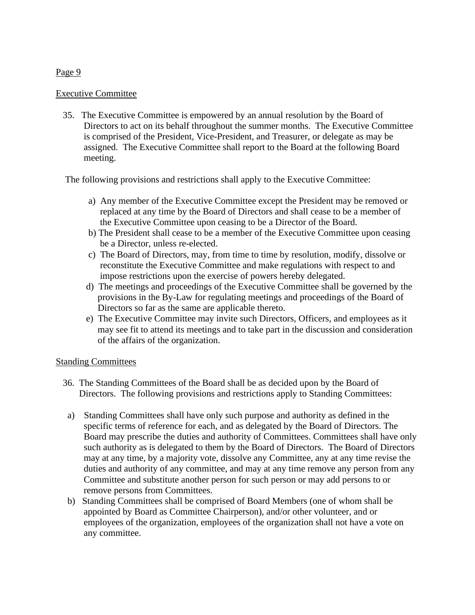### Executive Committee

 35. The Executive Committee is empowered by an annual resolution by the Board of Directors to act on its behalf throughout the summer months. The Executive Committee is comprised of the President, Vice-President, and Treasurer, or delegate as may be assigned. The Executive Committee shall report to the Board at the following Board meeting.

The following provisions and restrictions shall apply to the Executive Committee:

- a) Any member of the Executive Committee except the President may be removed or replaced at any time by the Board of Directors and shall cease to be a member of the Executive Committee upon ceasing to be a Director of the Board.
- b) The President shall cease to be a member of the Executive Committee upon ceasing be a Director, unless re-elected.
- c) The Board of Directors, may, from time to time by resolution, modify, dissolve or reconstitute the Executive Committee and make regulations with respect to and impose restrictions upon the exercise of powers hereby delegated.
- d) The meetings and proceedings of the Executive Committee shall be governed by the provisions in the By-Law for regulating meetings and proceedings of the Board of Directors so far as the same are applicable thereto.
- e) The Executive Committee may invite such Directors, Officers, and employees as it may see fit to attend its meetings and to take part in the discussion and consideration of the affairs of the organization.

# Standing Committees

- 36. The Standing Committees of the Board shall be as decided upon by the Board of Directors. The following provisions and restrictions apply to Standing Committees:
- a) Standing Committees shall have only such purpose and authority as defined in the specific terms of reference for each, and as delegated by the Board of Directors. The Board may prescribe the duties and authority of Committees. Committees shall have only such authority as is delegated to them by the Board of Directors. The Board of Directors may at any time, by a majority vote, dissolve any Committee, any at any time revise the duties and authority of any committee, and may at any time remove any person from any Committee and substitute another person for such person or may add persons to or remove persons from Committees.
- b) Standing Committees shall be comprised of Board Members (one of whom shall be appointed by Board as Committee Chairperson), and/or other volunteer, and or employees of the organization, employees of the organization shall not have a vote on any committee.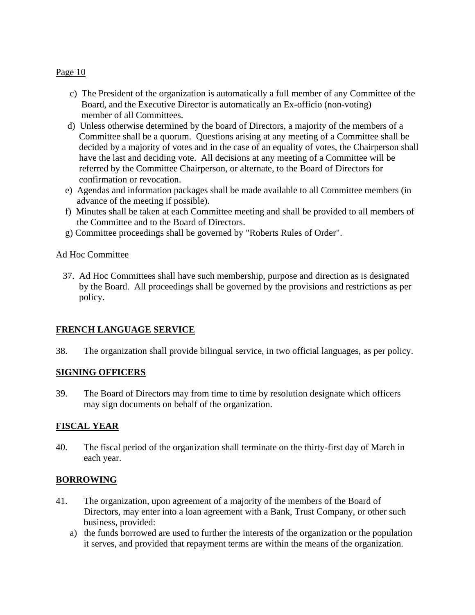- c) The President of the organization is automatically a full member of any Committee of the Board, and the Executive Director is automatically an Ex-officio (non-voting) member of all Committees.
- d) Unless otherwise determined by the board of Directors, a majority of the members of a Committee shall be a quorum. Questions arising at any meeting of a Committee shall be decided by a majority of votes and in the case of an equality of votes, the Chairperson shall have the last and deciding vote. All decisions at any meeting of a Committee will be referred by the Committee Chairperson, or alternate, to the Board of Directors for confirmation or revocation.
- e) Agendas and information packages shall be made available to all Committee members (in advance of the meeting if possible).
- f) Minutes shall be taken at each Committee meeting and shall be provided to all members of the Committee and to the Board of Directors.
- g) Committee proceedings shall be governed by "Roberts Rules of Order".

### Ad Hoc Committee

37. Ad Hoc Committees shall have such membership, purpose and direction as is designated by the Board. All proceedings shall be governed by the provisions and restrictions as per policy.

# **FRENCH LANGUAGE SERVICE**

38. The organization shall provide bilingual service, in two official languages, as per policy.

#### **SIGNING OFFICERS**

39. The Board of Directors may from time to time by resolution designate which officers may sign documents on behalf of the organization.

# **FISCAL YEAR**

40. The fiscal period of the organization shall terminate on the thirty-first day of March in each year.

# **BORROWING**

- 41. The organization, upon agreement of a majority of the members of the Board of Directors, may enter into a loan agreement with a Bank, Trust Company, or other such business, provided:
	- a) the funds borrowed are used to further the interests of the organization or the population it serves, and provided that repayment terms are within the means of the organization.